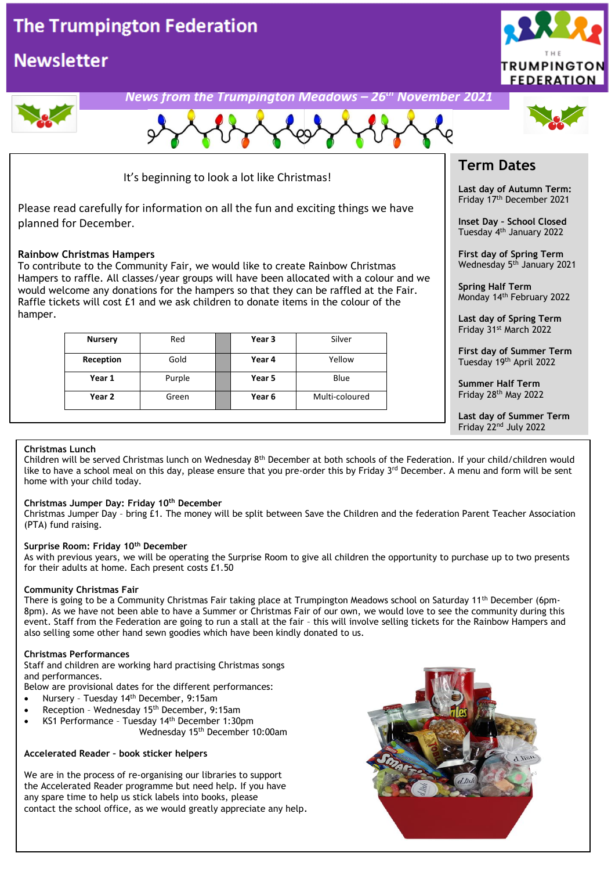## **The Trumpington Federation**

## **Newsletter**





It's beginning to look a lot like Christmas!

Please read carefully for information on all the fun and exciting things we have planned for December.

#### **Rainbow Christmas Hampers**

To contribute to the Community Fair, we would like to create Rainbow Christmas Hampers to raffle. All classes/year groups will have been allocated with a colour and we would welcome any donations for the hampers so that they can be raffled at the Fair. Raffle tickets will cost £1 and we ask children to donate items in the colour of the hamper.

| <b>Nursery</b> | Red    | Year 3 | Silver         |
|----------------|--------|--------|----------------|
| Reception      | Gold   | Year 4 | Yellow         |
| Year 1         | Purple | Year 5 | Blue           |
| Year 2         | Green  | Year 6 | Multi-coloured |

### **Term Dates**

**Last day of Autumn Term:** Friday 17th December 2021

**Inset Day – School Closed** Tuesday 4th January 2022

**First day of Spring Term** Wednesday 5<sup>th</sup> January 2021

**Spring Half Term** Monday 14 th February 2022

**Last day of Spring Term** Friday 31st March 2022

**First day of Summer Term** Tuesday 19<sup>th</sup> April 2022

**Summer Half Term** Friday 28th May 2022

**Last day of Summer Term** Friday 22nd July 2022

#### **Christmas Lunch**

like to have a school meal on this day, please ensure that you pre-order this by Friday 3<sup>rd</sup> December. A menu and form will be sent<br>bome with your child today Children will be served Christmas lunch on Wednesday 8th December at both schools of the Federation. If your child/children would home with your child today.

#### **Christmas Jumper Day: Friday 10th December**

Christmas Jumper Day – bring £1. The money will be split between Save the Children and the federation Parent Teacher Association (PTA) fund raising.

#### **Surprise Room: Friday 10th December**

As with previous years, we will be operating the Surprise Room to give all children the opportunity to purchase up to two presents for their adults at home. Each present costs £1.50

#### **Community Christmas Fair**

There is going to be a Community Christmas Fair taking place at Trumpington Meadows school on Saturday 11th December (6pm-8pm). As we have not been able to have a Summer or Christmas Fair of our own, we would love to see the community during this event. Staff from the Federation are going to run a stall at the fair – this will involve selling tickets for the Rainbow Hampers and also selling some other hand sewn goodies which have been kindly donated to us.

#### **Christmas Performances**

Staff and children are working hard practising Christmas songs and performances.

Below are provisional dates for the different performances:

- Nursery Tuesday 14th December, 9:15am
- Reception Wednesday 15th December, 9:15am
- KS1 Performance Tuesday 14th December 1:30pm Wednesday 15th December 10:00am

#### **Accelerated Reader – book sticker helpers**

We are in the process of re-organising our libraries to support the Accelerated Reader programme but need help. If you have any spare time to help us stick labels into books, please contact the school office, as we would greatly appreciate any help.